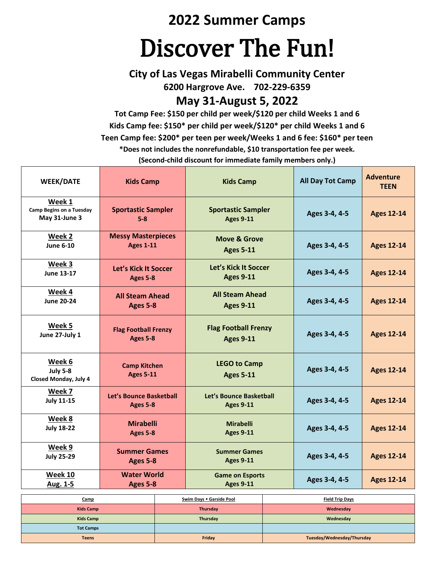## **2022 Summer Camps**

# Discover The Fun!

**City of Las Vegas Mirabelli Community Center 6200 Hargrove Ave. 702-229-6359**

### **May 31-August 5, 2022**

**Tot Camp Fee: \$150 per child per week/\$120 per child Weeks 1 and 6 Kids Camp fee: \$150\* per child per week/\$120\* per child Weeks 1 and 6 Teen Camp fee: \$200\* per teen per week/Weeks 1 and 6 fee: \$160\* per teen \*Does not includes the nonrefundable, \$10 transportation fee per week. (Second-child discount for immediate family members only.)**

| <b>WEEK/DATE</b>                                           | <b>Kids Camp</b>                              | <b>Kids Camp</b>                                | <b>All Day Tot Camp</b> | <b>Adventure</b><br><b>TEEN</b> |
|------------------------------------------------------------|-----------------------------------------------|-------------------------------------------------|-------------------------|---------------------------------|
| Week 1<br><b>Camp Begins on a Tuesday</b><br>May 31-June 3 | <b>Sportastic Sampler</b><br>$5-8$            | <b>Sportastic Sampler</b><br><b>Ages 9-11</b>   | Ages 3-4, 4-5           | <b>Ages 12-14</b>               |
| Week 2<br><b>June 6-10</b>                                 | <b>Messy Masterpieces</b><br><b>Ages 1-11</b> | <b>Move &amp; Grove</b><br><b>Ages 5-11</b>     | Ages 3-4, 4-5           | <b>Ages 12-14</b>               |
| Week 3<br><b>June 13-17</b>                                | Let's Kick It Soccer<br>Ages 5-8              | Let's Kick It Soccer<br><b>Ages 9-11</b>        | Ages 3-4, 4-5           | <b>Ages 12-14</b>               |
| Week 4<br><b>June 20-24</b>                                | <b>All Steam Ahead</b><br>Ages 5-8            | <b>All Steam Ahead</b><br><b>Ages 9-11</b>      | Ages 3-4, 4-5           | <b>Ages 12-14</b>               |
| Week 5<br>June 27-July 1                                   | <b>Flag Football Frenzy</b><br>Ages 5-8       | <b>Flag Football Frenzy</b><br><b>Ages 9-11</b> | Ages 3-4, 4-5           | <b>Ages 12-14</b>               |
| Week 6<br><b>July 5-8</b><br>Closed Monday, July 4         | <b>Camp Kitchen</b><br><b>Ages 5-11</b>       | <b>LEGO to Camp</b><br><b>Ages 5-11</b>         | Ages 3-4, 4-5           | <b>Ages 12-14</b>               |
| Week 7<br><b>July 11-15</b>                                | Let's Bounce Basketball<br>Ages 5-8           | Let's Bounce Basketball<br><b>Ages 9-11</b>     | Ages 3-4, 4-5           | <b>Ages 12-14</b>               |
| Week 8<br><b>July 18-22</b>                                | <b>Mirabelli</b><br>Ages 5-8                  | <b>Mirabelli</b><br><b>Ages 9-11</b>            | Ages 3-4, 4-5           | <b>Ages 12-14</b>               |
| Week 9<br><b>July 25-29</b>                                | <b>Summer Games</b><br>Ages 5-8               | <b>Summer Games</b><br><b>Ages 9-11</b>         | Ages 3-4, 4-5           | <b>Ages 12-14</b>               |
| <b>Week 10</b><br>Aug. 1-5                                 | <b>Water World</b><br>Ages 5-8                | <b>Game on Esports</b><br><b>Ages 9-11</b>      | Ages 3-4, 4-5           | <b>Ages 12-14</b>               |
| Swim Davs . Garside Pool<br>Camp<br><b>Field Trip Davs</b> |                                               |                                                 |                         |                                 |

| <u>Camp</u>      | Swim Days . Garside Pool | <b>Field Trip Days</b>     |
|------------------|--------------------------|----------------------------|
| <b>Kids Camp</b> | Thursday                 | Wednesday                  |
| <b>Kids Camp</b> | Thursday                 | Wednesday                  |
| <b>Tot Camps</b> |                          |                            |
| <b>Teens</b>     | Friday                   | Tuesday/Wednesday/Thursday |